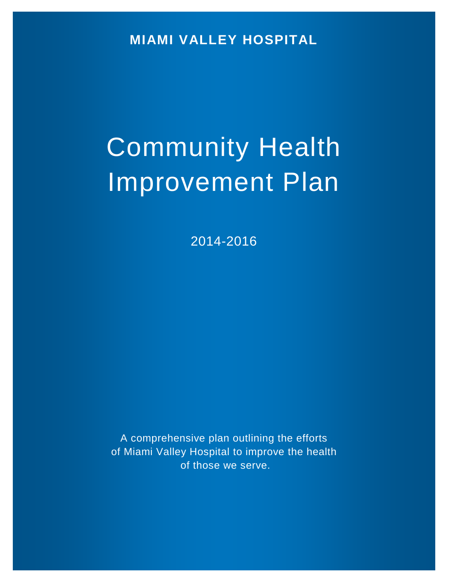**MIAMI VALLEY HOSPITAL**

# Community Health Improvement Plan

2014-2016

A comprehensive plan outlining the efforts of Miami Valley Hospital to improve the health of those we serve.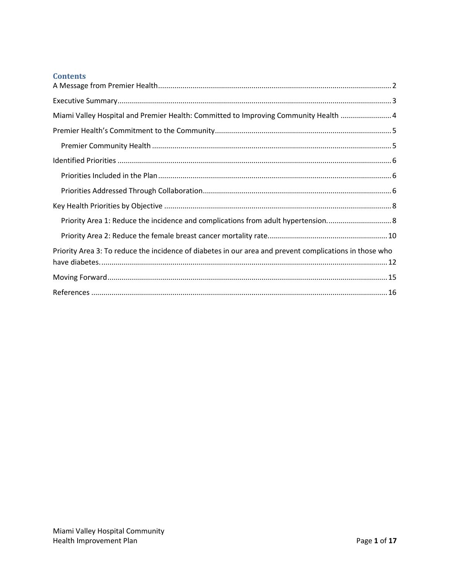# **Contents**

<span id="page-1-0"></span>

| Miami Valley Hospital and Premier Health: Committed to Improving Community Health  4                    |
|---------------------------------------------------------------------------------------------------------|
|                                                                                                         |
|                                                                                                         |
|                                                                                                         |
|                                                                                                         |
|                                                                                                         |
|                                                                                                         |
| Priority Area 1: Reduce the incidence and complications from adult hypertension 8                       |
|                                                                                                         |
| Priority Area 3: To reduce the incidence of diabetes in our area and prevent complications in those who |
|                                                                                                         |
|                                                                                                         |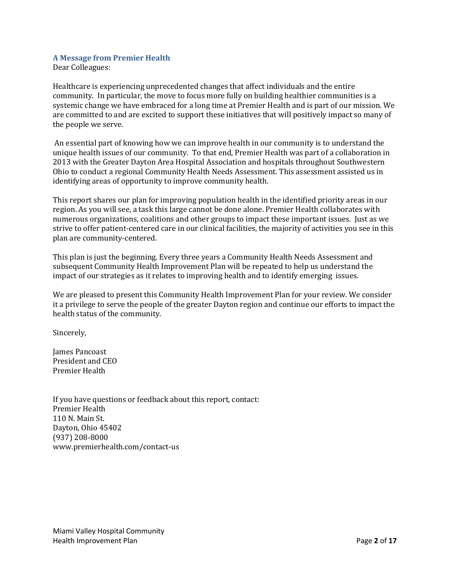## **A Message from Premier Health**

Dear Colleagues:

Healthcare is experiencing unprecedented changes that affect individuals and the entire community. In particular, the move to focus more fully on building healthier communities is a systemic change we have embraced for a long time at Premier Health and is part of our mission. We are committed to and are excited to support these initiatives that will positively impact so many of the people we serve.

An essential part of knowing how we can improve health in our community is to understand the unique health issues of our community. To that end, Premier Health was part of a collaboration in 2013 with the Greater Dayton Area Hospital Association and hospitals throughout Southwestern Ohio to conduct a regional Community Health Needs Assessment. This assessment assisted us in identifying areas of opportunity to improve community health.

This report shares our plan for improving population health in the identified priority areas in our region. As you will see, a task this large cannot be done alone. Premier Health collaborates with numerous organizations, coalitions and other groups to impact these important issues. Just as we strive to offer patient-centered care in our clinical facilities, the majority of activities you see in this plan are community-centered.

This plan is just the beginning. Every three years a Community Health Needs Assessment and subsequent Community Health Improvement Plan will be repeated to help us understand the impact of our strategies as it relates to improving health and to identify emerging issues.

We are pleased to present this Community Health Improvement Plan for your review. We consider it a privilege to serve the people of the greater Dayton region and continue our efforts to impact the health status of the community.

Sincerely,

James Pancoast President and CEO Premier Health

<span id="page-2-0"></span>If you have questions or feedback about this report, contact: Premier Health 110 N. Main St. Dayton, Ohio 45402 (937) 208-8000 www.premierhealth.com/contact-us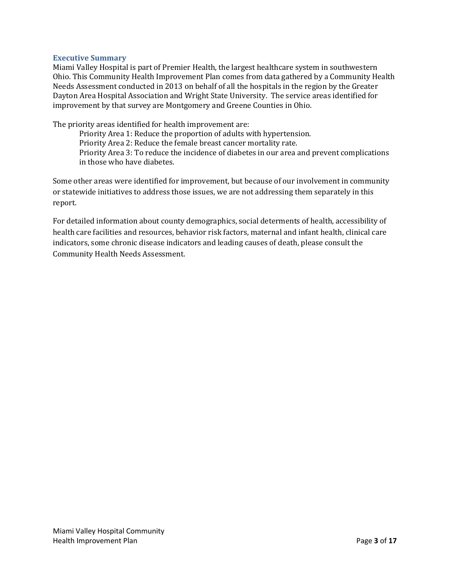## **Executive Summary**

Miami Valley Hospital is part of Premier Health, the largest healthcare system in southwestern Ohio. This Community Health Improvement Plan comes from data gathered by a Community Health Needs Assessment conducted in 2013 on behalf of all the hospitals in the region by the Greater Dayton Area Hospital Association and Wright State University. The service areas identified for improvement by that survey are Montgomery and Greene Counties in Ohio.

The priority areas identified for health improvement are:

Priority Area 1: Reduce the proportion of adults with hypertension. Priority Area 2: Reduce the female breast cancer mortality rate. Priority Area 3: To reduce the incidence of diabetes in our area and prevent complications in those who have diabetes.

Some other areas were identified for improvement, but because of our involvement in community or statewide initiatives to address those issues, we are not addressing them separately in this report.

<span id="page-3-0"></span>For detailed information about county demographics, social determents of health, accessibility of health care facilities and resources, behavior risk factors, maternal and infant health, clinical care indicators, some chronic disease indicators and leading causes of death, please consult the Community Health Needs Assessment.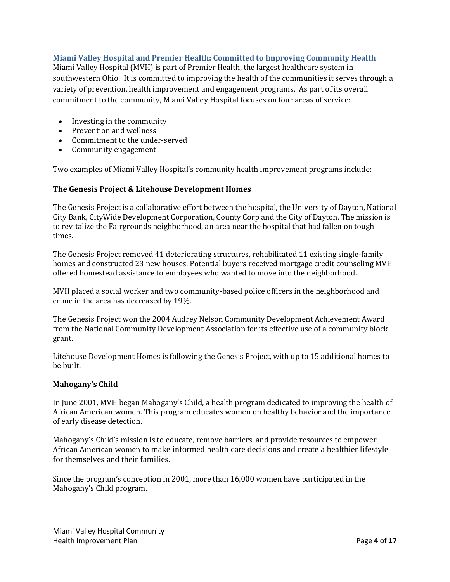## **Miami Valley Hospital and Premier Health: Committed to Improving Community Health**

Miami Valley Hospital (MVH) is part of Premier Health, the largest healthcare system in southwestern Ohio. It is committed to improving the health of the communities it serves through a variety of prevention, health improvement and engagement programs. As part of its overall commitment to the community, Miami Valley Hospital focuses on four areas of service:

- [Investing in the community](http://www.miamivalleyhospital.org/WorkArea/linkit.aspx?LinkIdentifier=id&ItemID=10924)
- [Prevention and wellness](http://www.miamivalleyhospital.org/WorkArea/linkit.aspx?LinkIdentifier=id&ItemID=10922)<br>• Commitment to the unde
- [Commitment to the under-served](http://www.miamivalleyhospital.org/WorkArea/linkit.aspx?LinkIdentifier=id&ItemID=10918)
- [Community engagement](http://www.miamivalleyhospital.org/WorkArea/linkit.aspx?LinkIdentifier=id&ItemID=10916)

Two examples of Miami Valley Hospital's community health improvement programs include:

## **The Genesis Project & Litehouse Development Homes**

The Genesis Project is a collaborative effort between the hospital, the University of Dayton, National City Bank, CityWide Development Corporation, County Corp and the City of Dayton. The mission is to revitalize the Fairgrounds neighborhood, an area near the hospital that had fallen on tough times.

The Genesis Project removed 41 deteriorating structures, rehabilitated 11 existing single-family homes and constructed 23 new houses. Potential buyers received mortgage credit counseling MVH offered homestead assistance to employees who wanted to move into the neighborhood.

MVH placed a social worker and two community-based police officers in the neighborhood and crime in the area has decreased by 19%.

The Genesis Project won the 2004 Audrey Nelson Community Development Achievement Award from the National Community Development Association for its effective use of a community block grant.

Litehouse Development Homes is following the Genesis Project, with up to 15 additional homes to be built.

## **Mahogany's Child**

In June 2001, MVH began Mahogany's Child, a health program dedicated to improving the health of African American women. This program educates women on healthy behavior and the importance of early disease detection.

Mahogany's Child's mission is to educate, remove barriers, and provide resources to empower African American women to make informed health care decisions and create a healthier lifestyle for themselves and their families.

Since the program's conception in 2001, more than 16,000 women have participated in the Mahogany's Child program.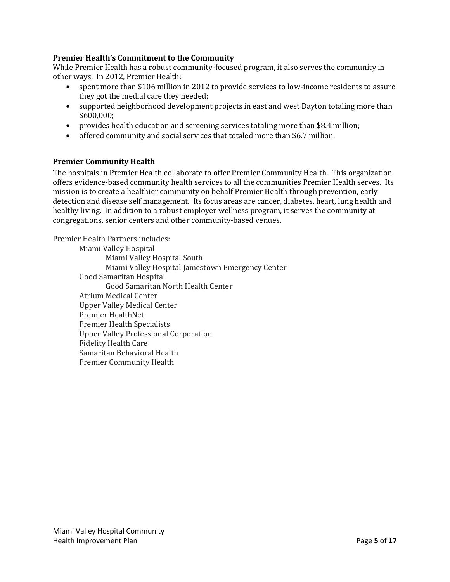## <span id="page-5-0"></span>**Premier Health's Commitment to the Community**

While Premier Health has a robust community-focused program, it also serves the community in other ways. In 2012, Premier Health:

- spent more than \$106 million in 2012 to provide services to low-income residents to assure they got the medial care they needed;
- supported neighborhood development projects in east and west Dayton totaling more than \$600,000;
- provides health education and screening services totaling more than \$8.4 million;
- offered community and social services that totaled more than \$6.7 million.

## <span id="page-5-1"></span>**Premier Community Health**

The hospitals in Premier Health collaborate to offer Premier Community Health. This organization offers evidence-based community health services to all the communities Premier Health serves. Its mission is to create a healthier community on behalf Premier Health through prevention, early detection and disease self management. Its focus areas are cancer, diabetes, heart, lung health and healthy living. In addition to a robust employer wellness program, it serves the community at congregations, senior centers and other community-based venues.

Premier Health Partners includes:

<span id="page-5-2"></span>Miami Valley Hospital Miami Valley Hospital South Miami Valley Hospital Jamestown Emergency Center Good Samaritan Hospital Good Samaritan North Health Center Atrium Medical Center Upper Valley Medical Center Premier HealthNet Premier Health Specialists Upper Valley Professional Corporation Fidelity Health Care Samaritan Behavioral Health Premier Community Health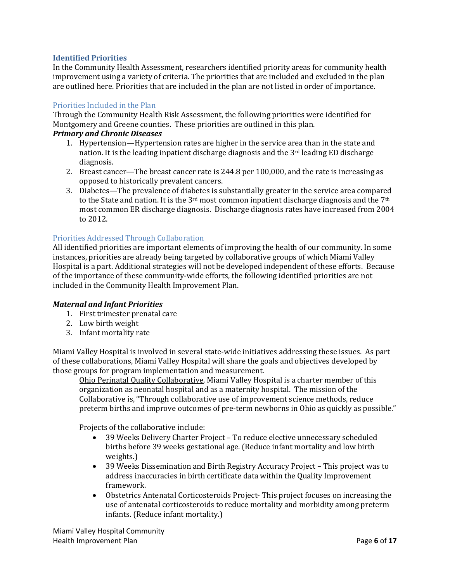## **Identified Priorities**

In the Community Health Assessment, researchers identified priority areas for community health improvement using a variety of criteria. The priorities that are included and excluded in the plan are outlined here. Priorities that are included in the plan are not listed in order of importance.

## <span id="page-6-0"></span>Priorities Included in the Plan

Through the Community Health Risk Assessment, the following priorities were identified for Montgomery and Greene counties. These priorities are outlined in this plan.

## *Primary and Chronic Diseases*

- 1. Hypertension—Hypertension rates are higher in the service area than in the state and nation. It is the leading inpatient discharge diagnosis and the 3<sup>rd</sup> leading ED discharge diagnosis.
- 2. Breast cancer—The breast cancer rate is 244.8 per 100,000, and the rate is increasing as opposed to historically prevalent cancers.
- 3. Diabetes—The prevalence of diabetes is substantially greater in the service area compared to the State and nation. It is the 3<sup>rd</sup> most common inpatient discharge diagnosis and the 7<sup>th</sup> most common ER discharge diagnosis. Discharge diagnosis rates have increased from 2004 to 2012.

## <span id="page-6-1"></span>Priorities Addressed Through Collaboration

All identified priorities are important elements of improving the health of our community. In some instances, priorities are already being targeted by collaborative groups of which Miami Valley Hospital is a part. Additional strategies will not be developed independent of these efforts. Because of the importance of these community-wide efforts, the following identified priorities are not included in the Community Health Improvement Plan.

## *Maternal and Infant Priorities*

- 1. First trimester prenatal care
- 2. Low birth weight
- 3. Infant mortality rate

Miami Valley Hospital is involved in several state-wide initiatives addressing these issues. As part of these collaborations, Miami Valley Hospital will share the goals and objectives developed by those groups for program implementation and measurement.

Ohio Perinatal Quality Collaborative. Miami Valley Hospital is a charter member of this organization as neonatal hospital and as a maternity hospital. The mission of the Collaborative is, "Through collaborative use of improvement science methods, reduce preterm births and improve outcomes of pre-term newborns in Ohio as quickly as possible."

Projects of the collaborative include:

- 39 Weeks Delivery Charter Project To reduce elective unnecessary scheduled births before 39 weeks gestational age. (Reduce infant mortality and low birth weights.)
- 39 Weeks Dissemination and Birth Registry Accuracy Project This project was to address inaccuracies in birth certificate data within the Quality Improvement framework.
- Obstetrics Antenatal Corticosteroids Project- This project focuses on increasing the use of antenatal corticosteroids to reduce mortality and morbidity among preterm infants. (Reduce infant mortality.)

Miami Valley Hospital Community Health Improvement Plan Page **6** of **17**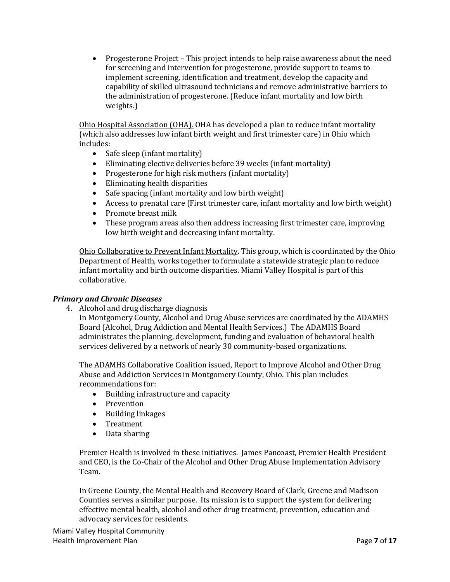• Progesterone Project – This project intends to help raise awareness about the need for screening and intervention for progesterone, provide support to teams to implement screening, identification and treatment, develop the capacity and capability of skilled ultrasound technicians and remove administrative barriers to the administration of progesterone. (Reduce infant mortality and low birth weights.)

Ohio Hospital Association (OHA). OHA has developed a plan to reduce infant mortality (which also addresses low infant birth weight and first trimester care) in Ohio which includes:

- Safe sleep (infant mortality)<br>• Eliminating elective deliverie
- Eliminating elective deliveries before 39 weeks (infant mortality)
- Progesterone for high risk mothers (infant mortality)
- Eliminating health disparities<br>• Safe spacing (infant mortality)
- Safe spacing (infant mortality and low birth weight)
- Access to prenatal care (First trimester care, infant mortality and low birth weight)
- Promote breast milk<br>• These program areas
- These program areas also then address increasing first trimester care, improving low birth weight and decreasing infant mortality.

Ohio Collaborative to Prevent Infant Mortality. This group, which is coordinated by the Ohio Department of Health, works together to formulate a statewide strategic plan to reduce infant mortality and birth outcome disparities. Miami Valley Hospital is part of this collaborative.

## *Primary and Chronic Diseases*

4. Alcohol and drug discharge diagnosis

In Montgomery County, Alcohol and Drug Abuse services are coordinated by the ADAMHS Board (Alcohol, Drug Addiction and Mental Health Services.) The ADAMHS Board administrates the planning, development, funding and evaluation of behavioral health services delivered by a network of nearly 30 community-based organizations.

The ADAMHS Collaborative Coalition issued, Report to Improve Alcohol and Other Drug Abuse and Addiction Services in Montgomery County, Ohio. This plan includes recommendations for:

- Building infrastructure and capacity
- Prevention
- Building linkages
- Treatment
- Data sharing

Premier Health is involved in these initiatives. James Pancoast, Premier Health President and CEO, is the Co-Chair of the Alcohol and Other Drug Abuse Implementation Advisory Team.

In Greene County, the Mental Health and Recovery Board of Clark, Greene and Madison Counties serves a similar purpose. Its mission is to support the system for delivering effective mental health, alcohol and other drug treatment, prevention, education and advocacy services for residents.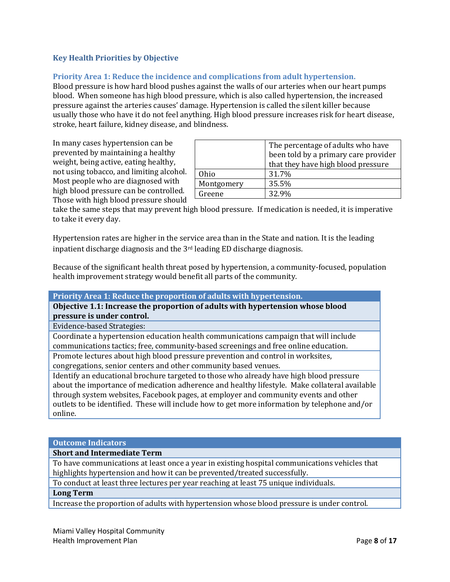## <span id="page-8-0"></span>**Key Health Priorities by Objective**

## <span id="page-8-1"></span>**Priority Area 1: Reduce the incidence and complications from adult hypertension.**

Blood pressure is how hard blood pushes against the walls of our arteries when our heart pumps blood. When someone has high blood pressure, which is also called hypertension, the increased pressure against the arteries causes' damage. Hypertension is called the silent killer because usually those who have it do not feel anything. High blood pressure increases risk for heart disease, stroke, heart failure, kidney disease, and blindness.

In many cases hypertension can be prevented by maintaining a healthy weight, being active, eating healthy, not using tobacco, and limiting alcohol. Most people who are diagnosed with high blood pressure can be controlled. Those with high blood pressure should

|            | The percentage of adults who have    |  |  |
|------------|--------------------------------------|--|--|
|            | been told by a primary care provider |  |  |
|            | that they have high blood pressure   |  |  |
| Ohio       | 31.7%                                |  |  |
| Montgomery | 35.5%                                |  |  |
| Greene     | 32.9%                                |  |  |

take the same steps that may prevent high blood pressure. If medication is needed, it is imperative to take it every day.

Hypertension rates are higher in the service area than in the State and nation. It is the leading inpatient discharge diagnosis and the 3rd leading ED discharge diagnosis.

Because of the significant health threat posed by hypertension, a community-focused, population health improvement strategy would benefit all parts of the community.

#### **Priority Area 1: Reduce the proportion of adults with hypertension.**

**Objective 1.1: Increase the proportion of adults with hypertension whose blood pressure is under control.**

Evidence-based Strategies:

Coordinate a hypertension education health communications campaign that will include communications tactics; free, community-based screenings and free online education.

Promote lectures about high blood pressure prevention and control in worksites, congregations, senior centers and other community based venues.

Identify an educational brochure targeted to those who already have high blood pressure about the importance of medication adherence and healthy lifestyle. Make collateral available through system websites, Facebook pages, at employer and community events and other outlets to be identified. These will include how to get more information by telephone and/or online.

#### **Outcome Indicators**

## **Short and Intermediate Term**

To have communications at least once a year in existing hospital communications vehicles that highlights hypertension and how it can be prevented/treated successfully.

To conduct at least three lectures per year reaching at least 75 unique individuals.

## **Long Term**

Increase the proportion of adults with hypertension whose blood pressure is under control.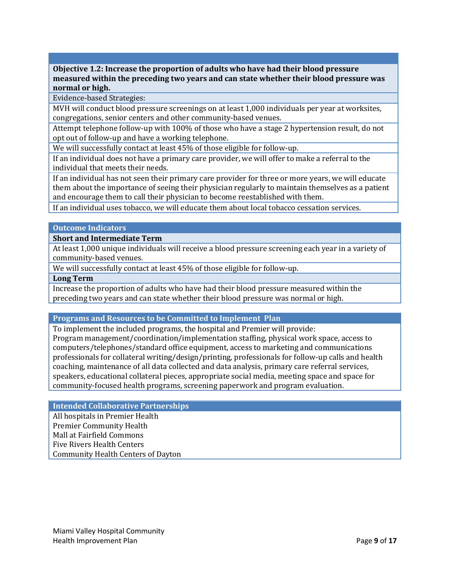**Objective 1.2: Increase the proportion of adults who have had their blood pressure measured within the preceding two years and can state whether their blood pressure was normal or high.**

Evidence-based Strategies:

MVH will conduct blood pressure screenings on at least 1,000 individuals per year at worksites, congregations, senior centers and other community-based venues.

Attempt telephone follow-up with 100% of those who have a stage 2 hypertension result, do not opt out of follow-up and have a working telephone.

We will successfully contact at least 45% of those eligible for follow-up.

If an individual does not have a primary care provider, we will offer to make a referral to the individual that meets their needs.

If an individual has not seen their primary care provider for three or more years, we will educate them about the importance of seeing their physician regularly to maintain themselves as a patient and encourage them to call their physician to become reestablished with them.

If an individual uses tobacco, we will educate them about local tobacco cessation services.

#### **Outcome Indicators**

**Short and Intermediate Term**

At least 1,000 unique individuals will receive a blood pressure screening each year in a variety of community-based venues.

We will successfully contact at least 45% of those eligible for follow-up.

## **Long Term**

Increase the proportion of adults who have had their blood pressure measured within the preceding two years and can state whether their blood pressure was normal or high.

#### **Programs and Resources to be Committed to Implement Plan**

To implement the included programs, the hospital and Premier will provide: Program management/coordination/implementation staffing, physical work space, access to computers/telephones/standard office equipment, access to marketing and communications professionals for collateral writing/design/printing, professionals for follow-up calls and health coaching, maintenance of all data collected and data analysis, primary care referral services, speakers, educational collateral pieces, appropriate social media, meeting space and space for community-focused health programs, screening paperwork and program evaluation.

## **Intended Collaborative Partnerships**

<span id="page-9-0"></span>All hospitals in Premier Health Premier Community Health Mall at Fairfield Commons Five Rivers Health Centers Community Health Centers of Dayton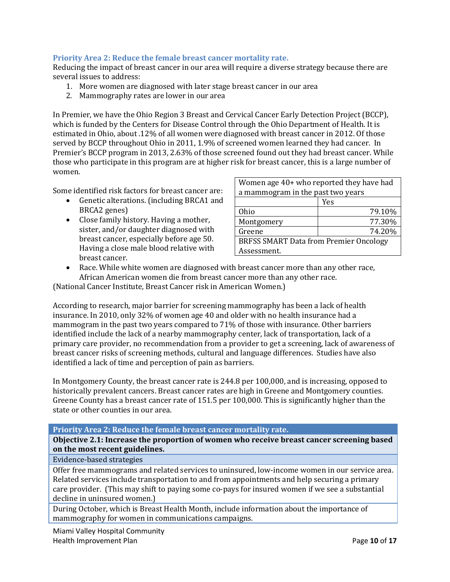## **Priority Area 2: Reduce the female breast cancer mortality rate.**

Reducing the impact of breast cancer in our area will require a diverse strategy because there are several issues to address:

- 1. More women are diagnosed with later stage breast cancer in our area
- 2. Mammography rates are lower in our area

In Premier, we have the Ohio Region 3 Breast and Cervical Cancer Early Detection Project (BCCP), which is funded by the Centers for Disease Control through the Ohio Department of Health. It is estimated in Ohio, about .12% of all women were diagnosed with breast cancer in 2012. Of those served by BCCP throughout Ohio in 2011, 1.9% of screened women learned they had cancer. In Premier's BCCP program in 2013, 2.63% of those screened found out they had breast cancer. While those who participate in this program are at higher risk for breast cancer, this is a large number of women.

Some identified risk factors for breast cancer are:

- Genetic alterations. (including BRCA1 and BRCA2 genes)
- Close family history. Having a mother, sister, and/or daughter diagnosed with breast cancer, especially before age 50. Having a close male blood relative with breast cancer.

| Women age 40+ who reported they have had      |        |  |  |
|-----------------------------------------------|--------|--|--|
| a mammogram in the past two years             |        |  |  |
|                                               | Yes    |  |  |
| <b>Ohio</b>                                   | 79.10% |  |  |
| Montgomery                                    | 77.30% |  |  |
| Greene                                        | 74.20% |  |  |
| <b>BRFSS SMART Data from Premier Oncology</b> |        |  |  |
| Assessment.                                   |        |  |  |

• Race. While white women are diagnosed with breast cancer more than any other race, African American women die from breast cancer more than any other race.

(National Cancer Institute, Breast Cancer risk in American Women.)

According to research, major barrier for screening mammography has been a lack of health insurance. In 2010, only 32% of women age 40 and older with no health insurance had a mammogram in the past two years compared to 71% of those with insurance. Other barriers identified include the lack of a nearby mammography center, lack of transportation, lack of a primary care provider, no recommendation from a provider to get a screening, lack of awareness of breast cancer risks of screening methods, cultural and language differences. Studies have also identified a lack of time and perception of pain as barriers.

In Montgomery County, the breast cancer rate is 244.8 per 100,000, and is increasing, opposed to historically prevalent cancers. Breast cancer rates are high in Greene and Montgomery counties. Greene County has a breast cancer rate of 151.5 per 100,000. This is significantly higher than the state or other counties in our area.

#### **Priority Area 2: Reduce the female breast cancer mortality rate.**

**Objective 2.1: Increase the proportion of women who receive breast cancer screening based on the most recent guidelines.**

## Evidence-based strategies

Offer free mammograms and related services to uninsured, low-income women in our service area. Related services include transportation to and from appointments and help securing a primary care provider. (This may shift to paying some co-pays for insured women if we see a substantial decline in uninsured women.)

During October, which is Breast Health Month, include information about the importance of mammography for women in communications campaigns.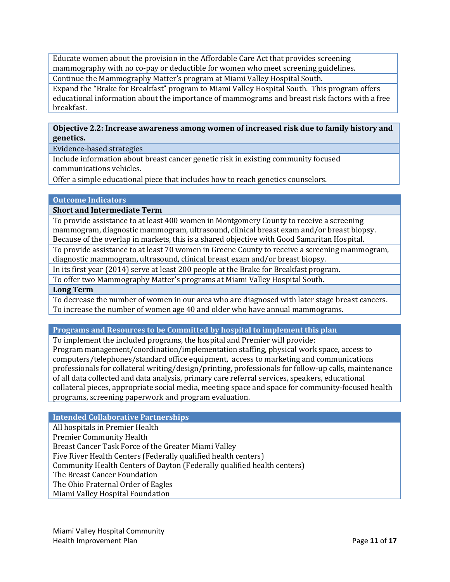Educate women about the provision in the Affordable Care Act that provides screening mammography with no co-pay or deductible for women who meet screening guidelines.

Continue the Mammography Matter's program at Miami Valley Hospital South.

Expand the "Brake for Breakfast" program to Miami Valley Hospital South. This program offers educational information about the importance of mammograms and breast risk factors with a free breakfast.

## **Objective 2.2: Increase awareness among women of increased risk due to family history and genetics.**

Evidence-based strategies

Include information about breast cancer genetic risk in existing community focused communications vehicles.

Offer a simple educational piece that includes how to reach genetics counselors.

## **Outcome Indicators**

**Short and Intermediate Term**

To provide assistance to at least 400 women in Montgomery County to receive a screening mammogram, diagnostic mammogram, ultrasound, clinical breast exam and/or breast biopsy. Because of the overlap in markets, this is a shared objective with Good Samaritan Hospital.

To provide assistance to at least 70 women in Greene County to receive a screening mammogram, diagnostic mammogram, ultrasound, clinical breast exam and/or breast biopsy.

In its first year (2014) serve at least 200 people at the Brake for Breakfast program.

To offer two Mammography Matter's programs at Miami Valley Hospital South.

## **Long Term**

To decrease the number of women in our area who are diagnosed with later stage breast cancers. To increase the number of women age 40 and older who have annual mammograms.

# **Programs and Resources to be Committed by hospital to implement this plan**

To implement the included programs, the hospital and Premier will provide: Program management/coordination/implementation staffing, physical work space, access to computers/telephones/standard office equipment, access to marketing and communications professionals for collateral writing/design/printing, professionals for follow-up calls, maintenance of all data collected and data analysis, primary care referral services, speakers, educational collateral pieces, appropriate social media, meeting space and space for community-focused health programs, screening paperwork and program evaluation.

## **Intended Collaborative Partnerships**

All hospitals in Premier Health Premier Community Health Breast Cancer Task Force of the Greater Miami Valley Five River Health Centers (Federally qualified health centers) Community Health Centers of Dayton (Federally qualified health centers) The Breast Cancer Foundation The Ohio Fraternal Order of Eagles Miami Valley Hospital Foundation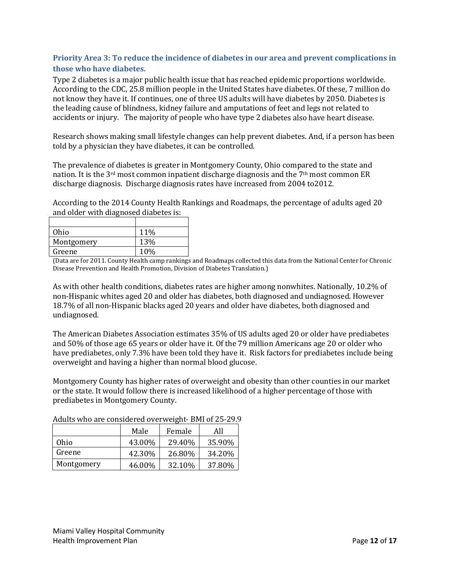# <span id="page-12-0"></span>**Priority Area 3: To reduce the incidence of diabetes in our area and prevent complications in those who have diabetes.**

Type 2 diabetes is a major public health issue that has reached epidemic proportions worldwide. According to the CDC, 25.8 million people in the United States have diabetes. Of these, 7 million do not know they have it. If continues, one of three US adults will have diabetes by 2050. Diabetes is the leading cause of blindness, kidney failure and amputations of feet and legs not related to accidents or injury. The majority of people who have type 2 diabetes also have heart disease.

Research shows making small lifestyle changes can help prevent diabetes. And, if a person has been told by a physician they have diabetes, it can be controlled.

The prevalence of diabetes is greater in Montgomery County, Ohio compared to the state and nation. It is the  $3<sup>rd</sup>$  most common inpatient discharge diagnosis and the 7<sup>th</sup> most common ER discharge diagnosis. Discharge diagnosis rates have increased from 2004 to2012.

According to the 2014 County Health Rankings and Roadmaps, the percentage of adults aged 20 and older with diagnosed diabetes is:

| Ohio       | 11% |
|------------|-----|
| Montgomery | 13% |
| Greene     | 10% |

(Data are for 2011. County Health camp rankings and Roadmaps collected this data from the National Center for Chronic Disease Prevention and Health Promotion, Division of Diabetes Translation.)

As with other health conditions, diabetes rates are higher among nonwhites. Nationally, 10.2% of non-Hispanic whites aged 20 and older has diabetes, both diagnosed and undiagnosed. However 18.7% of all non-Hispanic blacks aged 20 years and older have diabetes, both diagnosed and undiagnosed.

The American Diabetes Association estimates 35% of US adults aged 20 or older have prediabetes and 50% of those age 65 years or older have it. Of the 79 million Americans age 20 or older who have prediabetes, only 7.3% have been told they have it. Risk factors for prediabetes include being overweight and having a higher than normal blood glucose.

Montgomery County has higher rates of overweight and obesity than other counties in our market or the state. It would follow there is increased likelihood of a higher percentage of those with prediabetes in Montgomery County.

|            | Male   | Female | All    |
|------------|--------|--------|--------|
| Ohio       | 43.00% | 29.40% | 35.90% |
| Greene     | 42.30% | 26.80% | 34.20% |
| Montgomery | 46.00% | 32.10% | 37.80% |

Adults who are considered overweight- BMI of 25-29.9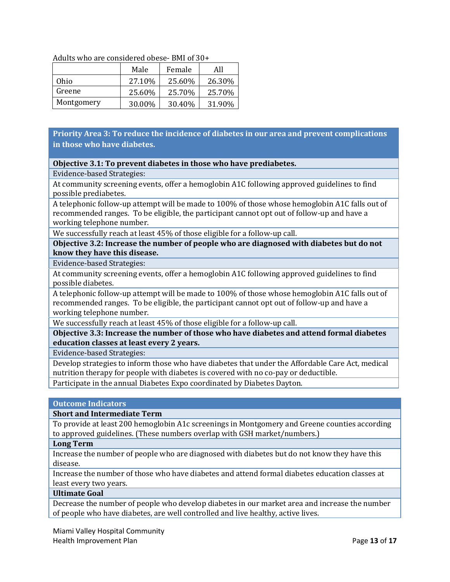|            | Male    | Female | All    |
|------------|---------|--------|--------|
| Ohio       | 27.10\% | 25.60% | 26.30% |
| Greene     | 25.60%  | 25.70% | 25.70% |
| Montgomery | 30.00%  | 30.40% | 31.90% |

## Adults who are considered obese- BMI of 30+

# **Priority Area 3: To reduce the incidence of diabetes in our area and prevent complications in those who have diabetes.**

## **Objective 3.1: To prevent diabetes in those who have prediabetes.**

## Evidence-based Strategies:

At community screening events, offer a hemoglobin A1C following approved guidelines to find possible prediabetes.

A telephonic follow-up attempt will be made to 100% of those whose hemoglobin A1C falls out of recommended ranges. To be eligible, the participant cannot opt out of follow-up and have a working telephone number.

We successfully reach at least 45% of those eligible for a follow-up call.

**Objective 3.2: Increase the number of people who are diagnosed with diabetes but do not know they have this disease.**

Evidence-based Strategies:

At community screening events, offer a hemoglobin A1C following approved guidelines to find possible diabetes.

A telephonic follow-up attempt will be made to 100% of those whose hemoglobin A1C falls out of recommended ranges. To be eligible, the participant cannot opt out of follow-up and have a working telephone number.

We successfully reach at least 45% of those eligible for a follow-up call.

**Objective 3.3: Increase the number of those who have diabetes and attend formal diabetes education classes at least every 2 years.**

Evidence-based Strategies:

Develop strategies to inform those who have diabetes that under the Affordable Care Act, medical nutrition therapy for people with diabetes is covered with no co-pay or deductible. Participate in the annual Diabetes Expo coordinated by Diabetes Dayton.

# **Outcome Indicators**

## **Short and Intermediate Term**

To provide at least 200 hemoglobin A1c screenings in Montgomery and Greene counties according to approved guidelines. (These numbers overlap with GSH market/numbers.)

## **Long Term**

Increase the number of people who are diagnosed with diabetes but do not know they have this disease.

Increase the number of those who have diabetes and attend formal diabetes education classes at least every two years.

## **Ultimate Goal**

Decrease the number of people who develop diabetes in our market area and increase the number of people who have diabetes, are well controlled and live healthy, active lives.

Miami Valley Hospital Community Health Improvement Plan **Page 13** of 17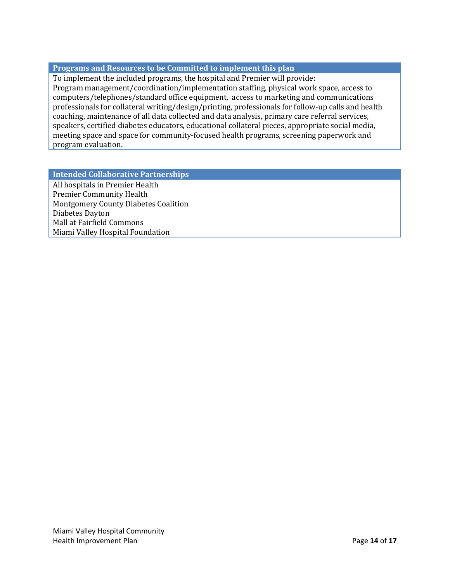## **Programs and Resources to be Committed to implement this plan**

To implement the included programs, the hospital and Premier will provide: Program management/coordination/implementation staffing, physical work space, access to computers/telephones/standard office equipment, access to marketing and communications professionals for collateral writing/design/printing, professionals for follow-up calls and health coaching, maintenance of all data collected and data analysis, primary care referral services, speakers, certified diabetes educators, educational collateral pieces, appropriate social media, meeting space and space for community-focused health programs, screening paperwork and program evaluation.

## **Intended Collaborative Partnerships**

<span id="page-14-0"></span>All hospitals in Premier Health Premier Community Health Montgomery County Diabetes Coalition Diabetes Dayton Mall at Fairfield Commons Miami Valley Hospital Foundation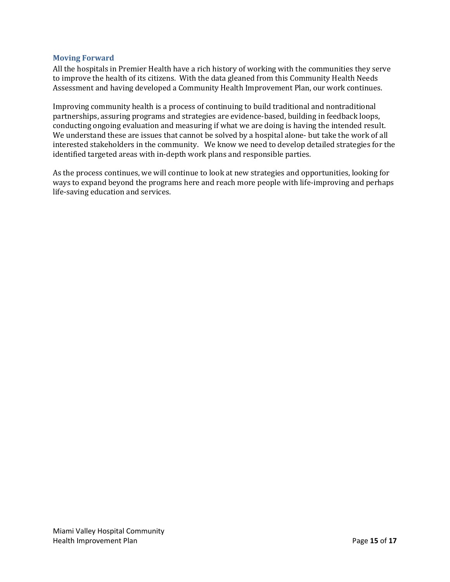## **Moving Forward**

All the hospitals in Premier Health have a rich history of working with the communities they serve to improve the health of its citizens. With the data gleaned from this Community Health Needs Assessment and having developed a Community Health Improvement Plan, our work continues.

Improving community health is a process of continuing to build traditional and nontraditional partnerships, assuring programs and strategies are evidence-based, building in feedback loops, conducting ongoing evaluation and measuring if what we are doing is having the intended result. We understand these are issues that cannot be solved by a hospital alone- but take the work of all interested stakeholders in the community. We know we need to develop detailed strategies for the identified targeted areas with in-depth work plans and responsible parties.

<span id="page-15-0"></span>As the process continues, we will continue to look at new strategies and opportunities, looking for ways to expand beyond the programs here and reach more people with life-improving and perhaps life-saving education and services.